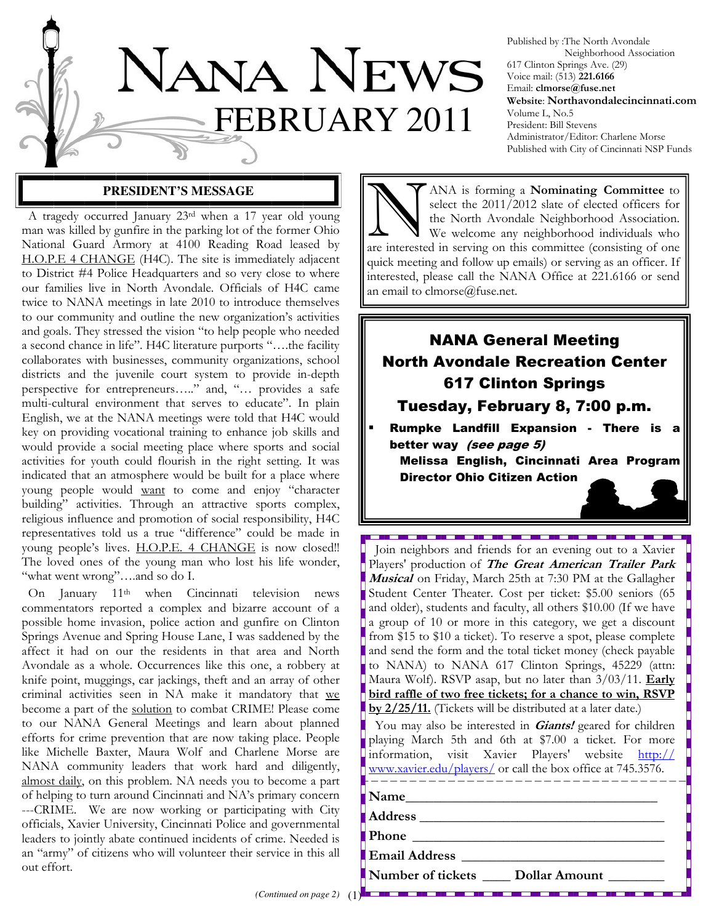

Published by :The North Avondale Neighborhood Association 617 Clinton Springs Ave. (29) Voice mail: (513) 221.6166 Email: clmorse@fuse.net Website: Northavondalecincinnati.com Volume L, No.5 President: Bill Stevens Administrator/Editor: Charlene Morse Published with City of Cincinnati NSP Funds

## **PRESIDENT'S MESSAGE**

 A tragedy occurred January 23rd when a 17 year old young man was killed by gunfire in the parking lot of the former Ohio National Guard Armory at 4100 Reading Road leased by H.O.P.E 4 CHANGE (H4C). The site is immediately adjacent to District #4 Police Headquarters and so very close to where our families live in North Avondale. Officials of H4C came twice to NANA meetings in late 2010 to introduce themselves to our community and outline the new organization's activities and goals. They stressed the vision "to help people who needed a second chance in life". H4C literature purports "….the facility collaborates with businesses, community organizations, school districts and the juvenile court system to provide in-depth perspective for entrepreneurs….." and, "… provides a safe multi-cultural environment that serves to educate". In plain English, we at the NANA meetings were told that H4C would key on providing vocational training to enhance job skills and would provide a social meeting place where sports and social activities for youth could flourish in the right setting. It was indicated that an atmosphere would be built for a place where young people would want to come and enjoy "character building" activities. Through an attractive sports complex, religious influence and promotion of social responsibility, H4C representatives told us a true "difference" could be made in young people's lives. **H.O.P.E. 4 CHANGE** is now closed!! The loved ones of the young man who lost his life wonder, "what went wrong"….and so do I.

 On January 11th when Cincinnati television news commentators reported a complex and bizarre account of a possible home invasion, police action and gunfire on Clinton Springs Avenue and Spring House Lane, I was saddened by the affect it had on our the residents in that area and North Avondale as a whole. Occurrences like this one, a robbery at knife point, muggings, car jackings, theft and an array of other criminal activities seen in NA make it mandatory that we become a part of the solution to combat CRIME! Please come to our NANA General Meetings and learn about planned efforts for crime prevention that are now taking place. People like Michelle Baxter, Maura Wolf and Charlene Morse are NANA community leaders that work hard and diligently, almost daily, on this problem. NA needs you to become a part of helping to turn around Cincinnati and NA's primary concern ---CRIME. We are now working or participating with City officials, Xavier University, Cincinnati Police and governmental leaders to jointly abate continued incidents of crime. Needed is an "army" of citizens who will volunteer their service in this all out effort.

ANA is forming a **Nominating Committee** to<br>select the 2011/2012 slate of elected officers for<br>the North Avondale Neighborhood Association.<br>We welcome any neighborhood individuals who select the 2011/2012 slate of elected officers for the North Avondale Neighborhood Association. We welcome any neighborhood individuals who are interested in serving on this committee (consisting of one quick meeting and follow up emails) or serving as an officer. If interested, please call the NANA Office at 221.6166 or send an email to clmorse@fuse.net.

# NANA General Meeting North Avondale Recreation Center 617 Clinton Springs

## Tuesday, February 8, 7:00 p.m.

Rumpke Landfill Expansion - There is a better way (see page 5)

----------------------------

Melissa English, Cincinnati Area Program Director Ohio Citizen Action

 Join neighbors and friends for an evening out to a Xavier Players' production of The Great American Trailer Park Musical on Friday, March 25th at 7:30 PM at the Gallagher Student Center Theater. Cost per ticket: \$5.00 seniors (65 and older), students and faculty, all others \$10.00 (If we have a group of 10 or more in this category, we get a discount from \$15 to \$10 a ticket). To reserve a spot, please complete and send the form and the total ticket money (check payable to NANA) to NANA 617 Clinton Springs, 45229 (attn: Maura Wolf). RSVP asap, but no later than  $3/03/11$ . Early bird raffle of two free tickets; for a chance to win, RSVP by 2/25/11. (Tickets will be distributed at a later date.)

You may also be interested in **Giants!** geared for children playing March 5th and 6th at \$7.00 a ticket. For more information, visit Xavier Players' website http:// www.xavier.edu/players/ or call the box office at 745.3576.

Address \_\_\_\_\_\_\_\_\_\_\_\_\_\_\_\_\_\_\_\_\_\_\_\_\_\_\_\_\_\_\_\_\_\_\_

Phone \_\_\_\_\_\_\_\_\_\_\_\_\_\_\_\_\_\_\_\_\_\_\_\_\_\_\_\_\_\_\_\_\_\_\_\_

Email Address \_\_\_\_\_\_\_\_\_\_\_\_\_\_\_\_\_\_\_\_\_\_\_\_\_\_\_\_\_

Number of tickets \_\_\_\_\_ Dollar Amount

------------------------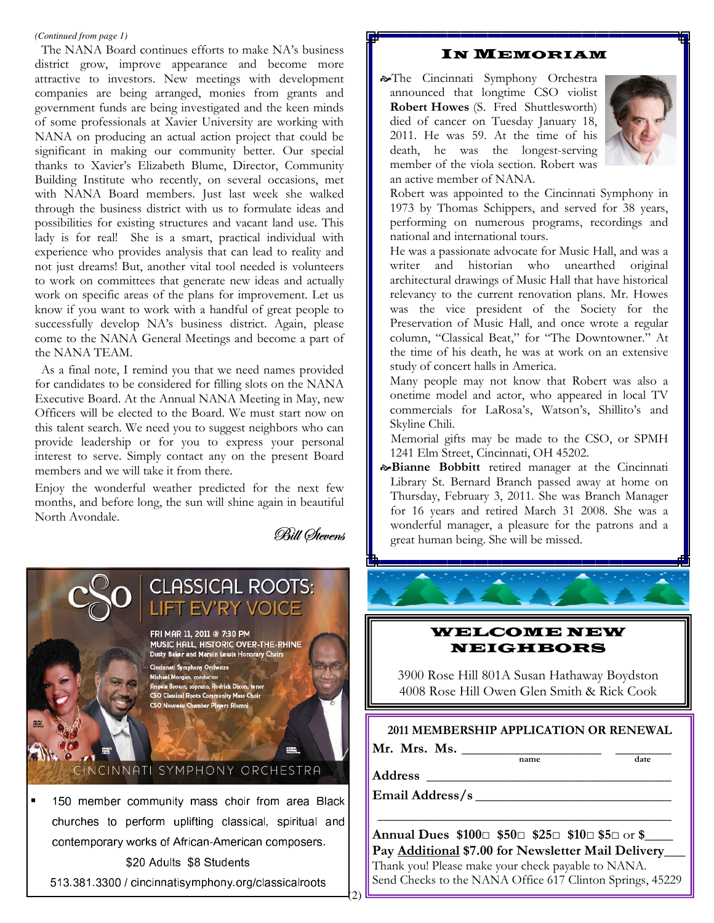#### *(Continued from page 1)*

 The NANA Board continues efforts to make NA's business district grow, improve appearance and become more attractive to investors. New meetings with development companies are being arranged, monies from grants and government funds are being investigated and the keen minds of some professionals at Xavier University are working with NANA on producing an actual action project that could be significant in making our community better. Our special thanks to Xavier's Elizabeth Blume, Director, Community Building Institute who recently, on several occasions, met with NANA Board members. Just last week she walked through the business district with us to formulate ideas and possibilities for existing structures and vacant land use. This lady is for real! She is a smart, practical individual with experience who provides analysis that can lead to reality and not just dreams! But, another vital tool needed is volunteers to work on committees that generate new ideas and actually work on specific areas of the plans for improvement. Let us know if you want to work with a handful of great people to successfully develop NA's business district. Again, please come to the NANA General Meetings and become a part of the NANA TEAM.

 As a final note, I remind you that we need names provided for candidates to be considered for filling slots on the NANA Executive Board. At the Annual NANA Meeting in May, new Officers will be elected to the Board. We must start now on this talent search. We need you to suggest neighbors who can provide leadership or for you to express your personal interest to serve. Simply contact any on the present Board members and we will take it from there.

Enjoy the wonderful weather predicted for the next few months, and before long, the sun will shine again in beautiful North Avondale.

Bill Øtevens



#### 513.381.3300 / cincinnatisymphony.org/classicalroots

## IN MEMORIAM

The Cincinnati Symphony Orchestra announced that longtime CSO violist Robert Howes (S. Fred Shuttlesworth) died of cancer on Tuesday January 18, 2011. He was 59. At the time of his death, he was the longest-serving member of the viola section. Robert was an active member of NANA.



Robert was appointed to the Cincinnati Symphony in 1973 by Thomas Schippers, and served for 38 years, performing on numerous programs, recordings and national and international tours.

He was a passionate advocate for Music Hall, and was a writer and historian who unearthed original architectural drawings of Music Hall that have historical relevancy to the current renovation plans. Mr. Howes was the vice president of the Society for the Preservation of Music Hall, and once wrote a regular column, "Classical Beat," for "The Downtowner." At the time of his death, he was at work on an extensive study of concert halls in America.

Many people may not know that Robert was also a onetime model and actor, who appeared in local TV commercials for LaRosa's, Watson's, Shillito's and Skyline Chili.

Memorial gifts may be made to the CSO, or SPMH 1241 Elm Street, Cincinnati, OH 45202.

 $\infty$ Bianne Bobbitt retired manager at the Cincinnati Library St. Bernard Branch passed away at home on Thursday, February 3, 2011. She was Branch Manager for 16 years and retired March 31 2008. She was a wonderful manager, a pleasure for the patrons and a great human being. She will be missed.

## WELCOME NEW NEIGHBORS

3900 Rose Hill 801A Susan Hathaway Boydston 4008 Rose Hill Owen Glen Smith & Rick Cook

#### 2011 MEMBERSHIP APPLICATION OR RENEWAL

 $name$ 

Mr. Mrs. Ms.  $\frac{1}{\text{name}}$ 

Address \_\_\_\_\_\_\_\_\_\_\_\_\_\_\_\_\_\_\_\_\_\_\_\_\_\_\_\_\_\_\_\_\_\_\_

Email Address/s \_\_\_\_\_\_\_\_\_\_\_\_\_\_\_\_\_\_\_\_\_\_\_\_\_\_\_\_

Annual Dues  $$100\Box$   $$50\Box$   $$25\Box$   $$10\Box$   $$5\Box$  or  $$$ Pay Additional \$7.00 for Newsletter Mail Delivery\_\_\_ Thank you! Please make your check payable to NANA. Send Checks to the NANA Office 617 Clinton Springs, 45229

\_\_\_\_\_\_\_\_\_\_\_\_\_\_\_\_\_\_\_\_\_\_\_\_\_\_\_\_\_\_\_\_\_\_\_\_\_\_\_\_\_\_

(2)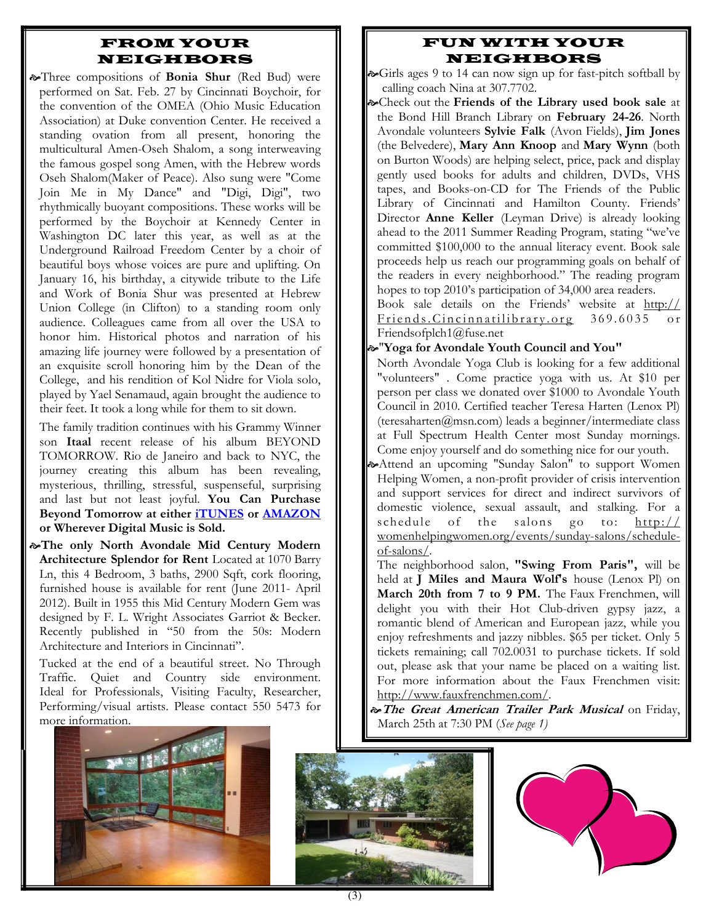## FROM YOUR NEIGHBORS

Max Three compositions of Bonia Shur (Red Bud) were performed on Sat. Feb. 27 by Cincinnati Boychoir, for the convention of the OMEA (Ohio Music Education Association) at Duke convention Center. He received a standing ovation from all present, honoring the multicultural Amen-Oseh Shalom, a song interweaving the famous gospel song Amen, with the Hebrew words Oseh Shalom(Maker of Peace). Also sung were "Come Join Me in My Dance" and "Digi, Digi", two rhythmically buoyant compositions. These works will be performed by the Boychoir at Kennedy Center in Washington DC later this year, as well as at the Underground Railroad Freedom Center by a choir of beautiful boys whose voices are pure and uplifting. On January 16, his birthday, a citywide tribute to the Life and Work of Bonia Shur was presented at Hebrew Union College (in Clifton) to a standing room only audience. Colleagues came from all over the USA to honor him. Historical photos and narration of his amazing life journey were followed by a presentation of an exquisite scroll honoring him by the Dean of the College, and his rendition of Kol Nidre for Viola solo, played by Yael Senamaud, again brought the audience to their feet. It took a long while for them to sit down.

The family tradition continues with his Grammy Winner son Itaal recent release of his album BEYOND TOMORROW. Rio de Janeiro and back to NYC, the journey creating this album has been revealing, mysterious, thrilling, stressful, suspenseful, surprising and last but not least joyful. You Can Purchase Beyond Tomorrow at either iTUNES or AMAZON or Wherever Digital Music is Sold.

The only North Avondale Mid Century Modern Architecture Splendor for Rent Located at 1070 Barry Ln, this 4 Bedroom, 3 baths, 2900 Sqft, cork flooring, furnished house is available for rent (June 2011- April 2012). Built in 1955 this Mid Century Modern Gem was designed by F. L. Wright Associates Garriot & Becker. Recently published in "50 from the 50s: Modern Architecture and Interiors in Cincinnati".

Tucked at the end of a beautiful street. No Through Traffic. Quiet and Country side environment. Ideal for Professionals, Visiting Faculty, Researcher, Performing/visual artists. Please contact 550 5473 for more information.



- $\infty$ Girls ages 9 to 14 can now sign up for fast-pitch softball by calling coach Nina at 307.7702.
- $\infty$ Check out the Friends of the Library used book sale at the Bond Hill Branch Library on February 24-26. North Avondale volunteers Sylvie Falk (Avon Fields), Jim Jones (the Belvedere), Mary Ann Knoop and Mary Wynn (both on Burton Woods) are helping select, price, pack and display gently used books for adults and children, DVDs, VHS tapes, and Books-on-CD for The Friends of the Public Library of Cincinnati and Hamilton County. Friends' Director Anne Keller (Leyman Drive) is already looking ahead to the 2011 Summer Reading Program, stating "we've committed \$100,000 to the annual literacy event. Book sale proceeds help us reach our programming goals on behalf of the readers in every neighborhood." The reading program hopes to top 2010's participation of 34,000 area readers.

Book sale details on the Friends' website at http:// Friends. Cincinnatilibrary.org 369.6035 or Friendsofplch1@fuse.net

"Yoga for Avondale Youth Council and You"

- North Avondale Yoga Club is looking for a few additional "volunteers" . Come practice yoga with us. At \$10 per person per class we donated over \$1000 to Avondale Youth Council in 2010. Certified teacher Teresa Harten (Lenox Pl) (teresaharten@msn.com) leads a beginner/intermediate class at Full Spectrum Health Center most Sunday mornings. Come enjoy yourself and do something nice for our youth.
- Attend an upcoming "Sunday Salon" to support Women Helping Women, a non-profit provider of crisis intervention and support services for direct and indirect survivors of domestic violence, sexual assault, and stalking. For a schedule of the salons go to: http:// womenhelpingwomen.org/events/sunday-salons/scheduleof-salons/.
	- The neighborhood salon, "Swing From Paris", will be held at J Miles and Maura Wolf's house (Lenox Pl) on March 20th from 7 to 9 PM. The Faux Frenchmen, will delight you with their Hot Club-driven gypsy jazz, a romantic blend of American and European jazz, while you enjoy refreshments and jazzy nibbles. \$65 per ticket. Only 5 tickets remaining; call 702.0031 to purchase tickets. If sold out, please ask that your name be placed on a waiting list. For more information about the Faux Frenchmen visit: http://www.fauxfrenchmen.com/.
- $\hat{\sigma}$ The Great American Trailer Park Musical on Friday, March 25th at 7:30 PM (See page 1)





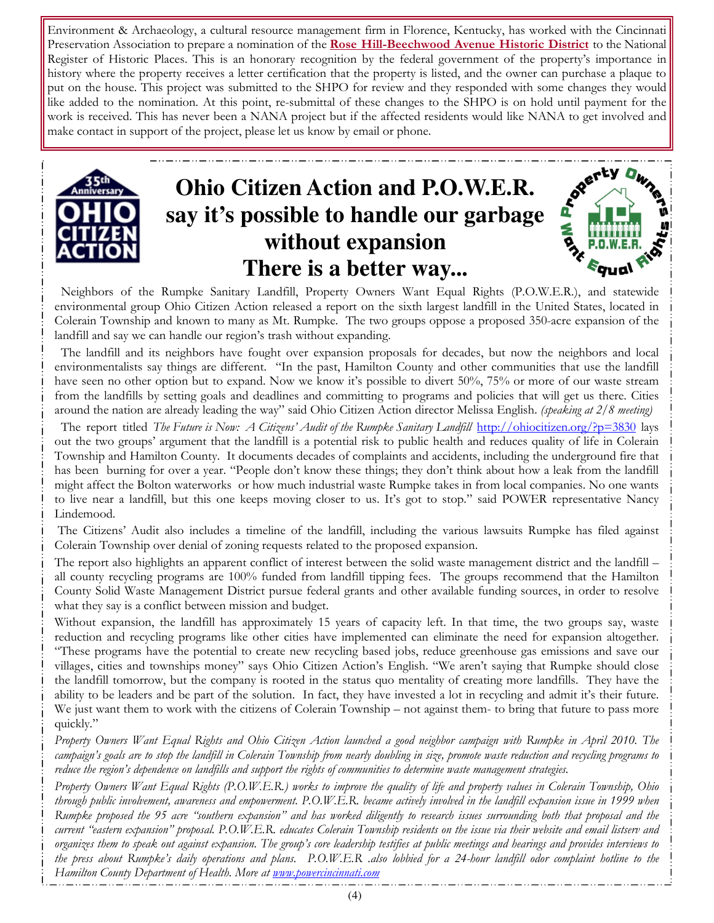Environment & Archaeology, a cultural resource management firm in Florence, Kentucky, has worked with the Cincinnati Preservation Association to prepare a nomination of the Rose Hill-Beechwood Avenue Historic District to the National Register of Historic Places. This is an honorary recognition by the federal government of the property's importance in history where the property receives a letter certification that the property is listed, and the owner can purchase a plaque to put on the house. This project was submitted to the SHPO for review and they responded with some changes they would like added to the nomination. At this point, re-submittal of these changes to the SHPO is on hold until payment for the work is received. This has never been a NANA project but if the affected residents would like NANA to get involved and make contact in support of the project, please let us know by email or phone.



# **Ohio Citizen Action and P.O.W.E.R. say it's possible to handle our garbage without expansion There is a better way...**

Seerty Dwn



 The landfill and its neighbors have fought over expansion proposals for decades, but now the neighbors and local environmentalists say things are different. "In the past, Hamilton County and other communities that use the landfill have seen no other option but to expand. Now we know it's possible to divert 50%, 75% or more of our waste stream from the landfills by setting goals and deadlines and committing to programs and policies that will get us there. Cities around the nation are already leading the way" said Ohio Citizen Action director Melissa English. (speaking at 2/8 meeting)

The report titled The Future is Now: A Citizens' Audit of the Rumpke Sanitary Landfill http://ohiocitizen.org/?p=3830 lays out the two groups' argument that the landfill is a potential risk to public health and reduces quality of life in Colerain Township and Hamilton County. It documents decades of complaints and accidents, including the underground fire that has been burning for over a year. "People don't know these things; they don't think about how a leak from the landfill might affect the Bolton waterworks or how much industrial waste Rumpke takes in from local companies. No one wants to live near a landfill, but this one keeps moving closer to us. It's got to stop." said POWER representative Nancy Lindemood.

 The Citizens' Audit also includes a timeline of the landfill, including the various lawsuits Rumpke has filed against Colerain Township over denial of zoning requests related to the proposed expansion.

The report also highlights an apparent conflict of interest between the solid waste management district and the landfill – all county recycling programs are 100% funded from landfill tipping fees. The groups recommend that the Hamilton County Solid Waste Management District pursue federal grants and other available funding sources, in order to resolve what they say is a conflict between mission and budget.

Without expansion, the landfill has approximately 15 years of capacity left. In that time, the two groups say, waste reduction and recycling programs like other cities have implemented can eliminate the need for expansion altogether. "These programs have the potential to create new recycling based jobs, reduce greenhouse gas emissions and save our villages, cities and townships money" says Ohio Citizen Action's English. "We aren't saying that Rumpke should close the landfill tomorrow, but the company is rooted in the status quo mentality of creating more landfills. They have the ability to be leaders and be part of the solution. In fact, they have invested a lot in recycling and admit it's their future. We just want them to work with the citizens of Colerain Township – not against them- to bring that future to pass more quickly."

Property Owners Want Equal Rights and Ohio Citizen Action launched a good neighbor campaign with Rumpke in April 2010. The campaign's goals are to stop the landfill in Colerain Township from nearly doubling in size, promote waste reduction and recycling programs to reduce the region's dependence on landfills and support the rights of communities to determine waste management strategies.

Property Owners Want Equal Rights (P.O.W.E.R.) works to improve the quality of life and property values in Colerain Township, Ohio through public involvement, awareness and empowerment. P.O.W.E.R. became actively involved in the landfill expansion issue in 1999 when Rumpke proposed the 95 acre "southern expansion" and has worked diligently to research issues surrounding both that proposal and the current "eastern expansion" proposal. P.O.W.E.R. educates Colerain Township residents on the issue via their website and email listserv and organizes them to speak out against expansion. The group's core leadership testifies at public meetings and hearings and provides interviews to the press about Rumpke's daily operations and plans. P.O.W.E.R .also lobbied for a 24-hour landfill odor complaint hotline to the Hamilton County Department of Health. More at www.powercincinnati.com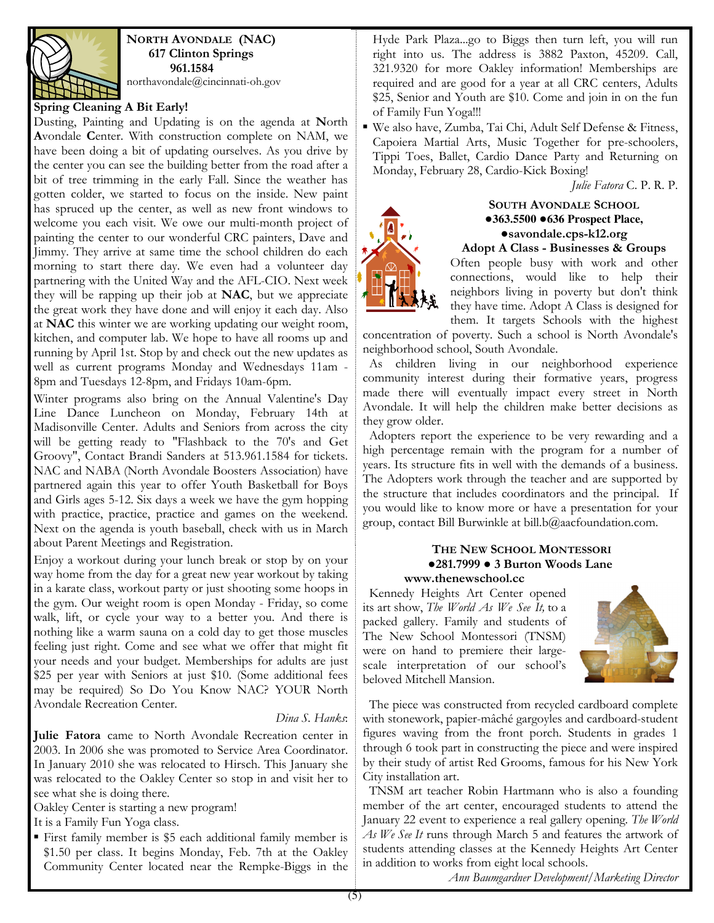

NORTH AVONDALE (NAC) 617 Clinton Springs 961.1584

northavondale@cincinnati-oh.gov

#### Spring Cleaning A Bit Early!

Dusting, Painting and Updating is on the agenda at North Avondale Center. With construction complete on NAM, we have been doing a bit of updating ourselves. As you drive by the center you can see the building better from the road after a bit of tree trimming in the early Fall. Since the weather has gotten colder, we started to focus on the inside. New paint has spruced up the center, as well as new front windows to welcome you each visit. We owe our multi-month project of painting the center to our wonderful CRC painters, Dave and Jimmy. They arrive at same time the school children do each morning to start there day. We even had a volunteer day partnering with the United Way and the AFL-CIO. Next week they will be rapping up their job at NAC, but we appreciate the great work they have done and will enjoy it each day. Also at NAC this winter we are working updating our weight room, kitchen, and computer lab. We hope to have all rooms up and running by April 1st. Stop by and check out the new updates as well as current programs Monday and Wednesdays 11am - 8pm and Tuesdays 12-8pm, and Fridays 10am-6pm.

Winter programs also bring on the Annual Valentine's Day Line Dance Luncheon on Monday, February 14th at Madisonville Center. Adults and Seniors from across the city will be getting ready to "Flashback to the 70's and Get Groovy", Contact Brandi Sanders at 513.961.1584 for tickets. NAC and NABA (North Avondale Boosters Association) have partnered again this year to offer Youth Basketball for Boys and Girls ages 5-12. Six days a week we have the gym hopping with practice, practice, practice and games on the weekend. Next on the agenda is youth baseball, check with us in March about Parent Meetings and Registration.

Enjoy a workout during your lunch break or stop by on your way home from the day for a great new year workout by taking in a karate class, workout party or just shooting some hoops in the gym. Our weight room is open Monday - Friday, so come walk, lift, or cycle your way to a better you. And there is nothing like a warm sauna on a cold day to get those muscles feeling just right. Come and see what we offer that might fit your needs and your budget. Memberships for adults are just \$25 per year with Seniors at just \$10. (Some additional fees may be required) So Do You Know NAC? YOUR North Avondale Recreation Center.

#### Dina S. Hanks:

Julie Fatora came to North Avondale Recreation center in 2003. In 2006 she was promoted to Service Area Coordinator. In January 2010 she was relocated to Hirsch. This January she was relocated to the Oakley Center so stop in and visit her to see what she is doing there.

Oakley Center is starting a new program!

It is a Family Fun Yoga class.

▪ First family member is \$5 each additional family member is \$1.50 per class. It begins Monday, Feb. 7th at the Oakley Community Center located near the Rempke-Biggs in the Hyde Park Plaza...go to Biggs then turn left, you will run right into us. The address is 3882 Paxton, 45209. Call, 321.9320 for more Oakley information! Memberships are required and are good for a year at all CRC centers, Adults \$25, Senior and Youth are \$10. Come and join in on the fun of Family Fun Yoga!!!

▪ We also have, Zumba, Tai Chi, Adult Self Defense & Fitness, Capoiera Martial Arts, Music Together for pre-schoolers, Tippi Toes, Ballet, Cardio Dance Party and Returning on Monday, February 28, Cardio-Kick Boxing!

Julie Fatora C. P. R. P.



#### SOUTH AVONDALE SCHOOL ●**363.5500** ●**636 Prospect Place,**  ●savondale.cps-k12.org Adopt A Class - Businesses & Groups

Often people busy with work and other connections, would like to help their neighbors living in poverty but don't think they have time. Adopt A Class is designed for them. It targets Schools with the highest

concentration of poverty. Such a school is North Avondale's neighborhood school, South Avondale.

 As children living in our neighborhood experience community interest during their formative years, progress made there will eventually impact every street in North Avondale. It will help the children make better decisions as they grow older.

 Adopters report the experience to be very rewarding and a high percentage remain with the program for a number of years. Its structure fits in well with the demands of a business. The Adopters work through the teacher and are supported by the structure that includes coordinators and the principal. If you would like to know more or have a presentation for your group, contact Bill Burwinkle at bill.b@aacfoundation.com.

#### THE NEW SCHOOL MONTESSORI ●281.7999 ● 3 Burton Woods Lane www.thenewschool.cc

 Kennedy Heights Art Center opened its art show, The World As We See It, to a packed gallery. Family and students of The New School Montessori (TNSM) were on hand to premiere their largescale interpretation of our school's beloved Mitchell Mansion.



 The piece was constructed from recycled cardboard complete with stonework, papier-mâché gargoyles and cardboard-student figures waving from the front porch. Students in grades 1 through 6 took part in constructing the piece and were inspired by their study of artist Red Grooms, famous for his New York City installation art.

 TNSM art teacher Robin Hartmann who is also a founding member of the art center, encouraged students to attend the January 22 event to experience a real gallery opening. The World As We See It runs through March 5 and features the artwork of students attending classes at the Kennedy Heights Art Center in addition to works from eight local schools.

Ann Baumgardner Development/Marketing Director